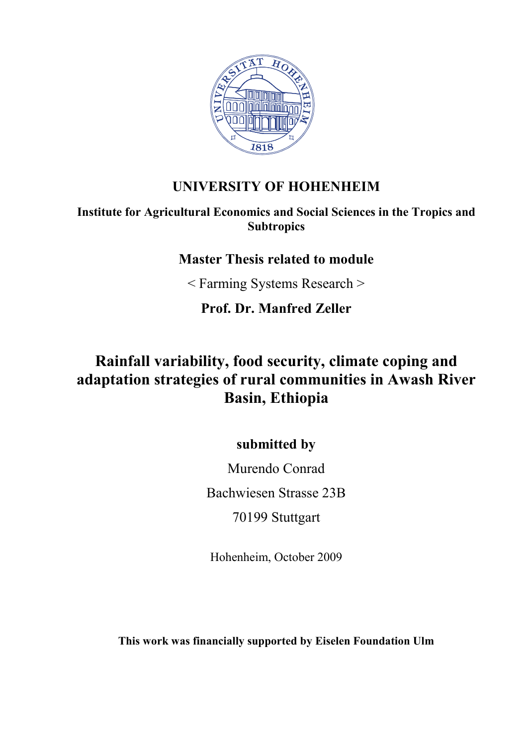

## **UNIVERSITY OF HOHENHEIM**

#### **Institute for Agricultural Economics and Social Sciences in the Tropics and Subtropics**

### **Master Thesis related to module**

< Farming Systems Research >

**Prof. Dr. Manfred Zeller** 

# **Rainfall variability, food security, climate coping and adaptation strategies of rural communities in Awash River Basin, Ethiopia**

**submitted by** 

Murendo Conrad Bachwiesen Strasse 23B 70199 Stuttgart

Hohenheim, October 2009

**This work was financially supported by Eiselen Foundation Ulm**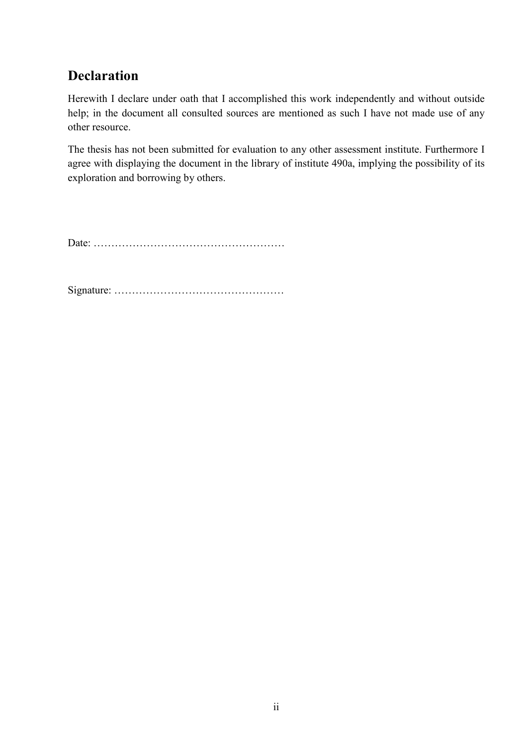## **Declaration**

Herewith I declare under oath that I accomplished this work independently and without outside help; in the document all consulted sources are mentioned as such I have not made use of any other resource.

The thesis has not been submitted for evaluation to any other assessment institute. Furthermore I agree with displaying the document in the library of institute 490a, implying the possibility of its exploration and borrowing by others.

Date: ………………………………………………

Signature: …………………………………………